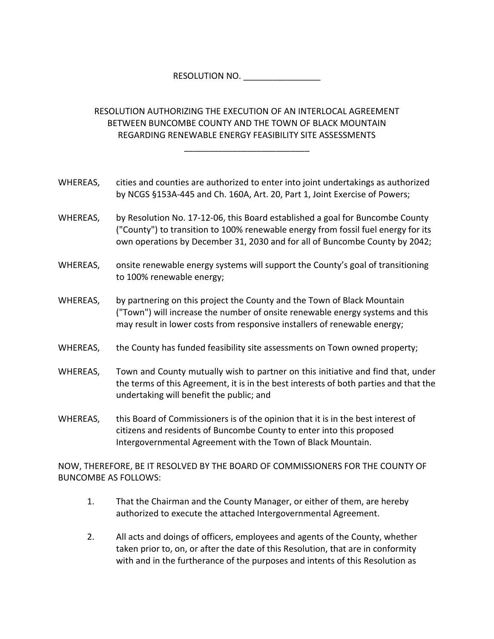RESOLUTION NO. \_\_\_\_\_\_\_\_\_\_\_\_\_\_\_

RESOLUTION AUTHORIZING THE EXECUTION OF AN INTERLOCAL AGREEMENT BETWEEN BUNCOMBE COUNTY AND THE TOWN OF BLACK MOUNTAIN REGARDING RENEWABLE ENERGY FEASIBILITY SITE ASSESSMENTS

\_\_\_\_\_\_\_\_\_\_\_\_\_\_\_\_\_\_\_\_\_\_\_\_\_\_

WHEREAS, cities and counties are authorized to enter into joint undertakings as authorized by NCGS §153A‐445 and Ch. 160A, Art. 20, Part 1, Joint Exercise of Powers;

- WHEREAS, by Resolution No. 17-12-06, this Board established a goal for Buncombe County ("County") to transition to 100% renewable energy from fossil fuel energy for its own operations by December 31, 2030 and for all of Buncombe County by 2042;
- WHEREAS, onsite renewable energy systems will support the County's goal of transitioning to 100% renewable energy;
- WHEREAS, by partnering on this project the County and the Town of Black Mountain ("Town") will increase the number of onsite renewable energy systems and this may result in lower costs from responsive installers of renewable energy;
- WHEREAS, the County has funded feasibility site assessments on Town owned property;
- WHEREAS, Town and County mutually wish to partner on this initiative and find that, under the terms of this Agreement, it is in the best interests of both parties and that the undertaking will benefit the public; and
- WHEREAS, this Board of Commissioners is of the opinion that it is in the best interest of citizens and residents of Buncombe County to enter into this proposed Intergovernmental Agreement with the Town of Black Mountain.

NOW, THEREFORE, BE IT RESOLVED BY THE BOARD OF COMMISSIONERS FOR THE COUNTY OF BUNCOMBE AS FOLLOWS:

- 1. That the Chairman and the County Manager, or either of them, are hereby authorized to execute the attached Intergovernmental Agreement.
- 2. All acts and doings of officers, employees and agents of the County, whether taken prior to, on, or after the date of this Resolution, that are in conformity with and in the furtherance of the purposes and intents of this Resolution as